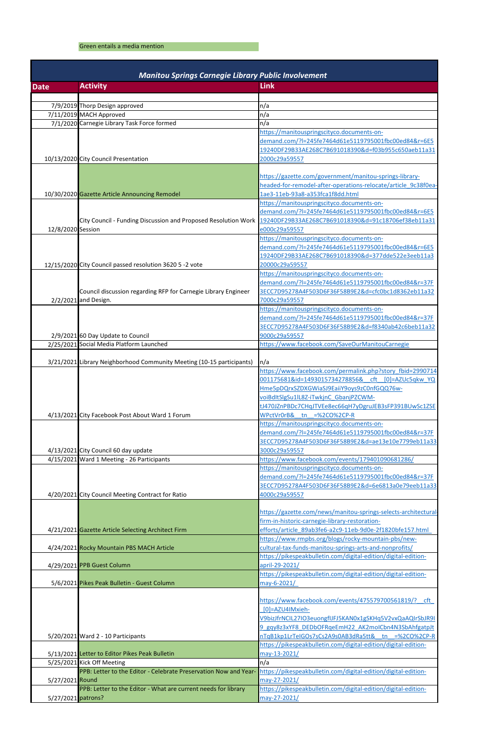## Green entails a media mention

| <b>Manitou Springs Carnegie Library Public Involvement</b> |                                                                       |                                                                                                                      |
|------------------------------------------------------------|-----------------------------------------------------------------------|----------------------------------------------------------------------------------------------------------------------|
| <b>Date</b>                                                | <b>Activity</b>                                                       | <b>Link</b>                                                                                                          |
|                                                            |                                                                       |                                                                                                                      |
|                                                            | 7/9/2019 Thorp Design approved<br>7/11/2019 MACH Approved             | n/a<br>n/a                                                                                                           |
|                                                            | 7/1/2020 Carnegie Library Task Force formed                           | n/a                                                                                                                  |
|                                                            |                                                                       | https://manitouspringscityco.documents-on-                                                                           |
|                                                            |                                                                       | demand.com/?l=245fe7464d61e5119795001fbc00ed84&r=6E5                                                                 |
|                                                            |                                                                       | 19240DF29B33AE268C7B691018390&d=f03b955c650aeb11a31                                                                  |
|                                                            | 10/13/2020 City Council Presentation                                  | 2000c29a59557                                                                                                        |
|                                                            |                                                                       |                                                                                                                      |
|                                                            |                                                                       | https://gazette.com/government/manitou-springs-library-                                                              |
|                                                            |                                                                       | headed-for-remodel-after-operations-relocate/article 9c38f0ea-                                                       |
|                                                            | 10/30/2020 Gazette Article Announcing Remodel                         | 1ae3-11eb-93a8-a353fca1f8dd.html<br>https://manitouspringscityco.documents-on-                                       |
|                                                            |                                                                       | demand.com/?l=245fe7464d61e5119795001fbc00ed84&r=6E5                                                                 |
|                                                            | City Council - Funding Discussion and Proposed Resolution Work        | 19240DF29B33AE268C7B691018390&d=91c18706ef38eb11a31                                                                  |
| 12/8/2020 Session                                          |                                                                       | e000c29a59557                                                                                                        |
|                                                            |                                                                       | https://manitouspringscityco.documents-on-                                                                           |
|                                                            |                                                                       | demand.com/?l=245fe7464d61e5119795001fbc00ed84&r=6E5                                                                 |
|                                                            |                                                                       | 19240DF29B33AE268C7B691018390&d=377dde522e3eeb11a3                                                                   |
|                                                            | 12/15/2020 City Council passed resolution 3620 5 -2 vote              | 20000c29a59557                                                                                                       |
|                                                            |                                                                       | https://manitouspringscityco.documents-on-<br>demand.com/?I=245fe7464d61e5119795001fbc00ed84&r=37F                   |
|                                                            | Council discussion regarding RFP for Carnegie Library Engineer        | 3ECC7D95278A4F503D6F36F58B9E2&d=cfc0bc1d8362eb11a32                                                                  |
|                                                            | 2/2/2021 and Design.                                                  | 7000c29a59557                                                                                                        |
|                                                            |                                                                       | https://manitouspringscityco.documents-on-                                                                           |
|                                                            |                                                                       | demand.com/?l=245fe7464d61e5119795001fbc00ed84&r=37F                                                                 |
|                                                            |                                                                       | 3ECC7D95278A4F503D6F36F58B9E2&d=f8340ab42c6beb11a32                                                                  |
|                                                            | 2/9/2021 60 Day Update to Council                                     | 9000c29a59557                                                                                                        |
|                                                            | 2/25/2021 Social Media Platform Launched                              | https://www.facebook.com/SaveOurManitouCarnegie                                                                      |
|                                                            | 3/21/2021 Library Neighborhood Community Meeting (10-15 participants) |                                                                                                                      |
|                                                            |                                                                       | n/a<br>https://www.facebook.com/permalink.php?story fbid=2990714                                                     |
|                                                            |                                                                       | 001175681&id=1493015734278856& cft [0]=AZUc5qkw YQ                                                                   |
|                                                            |                                                                       | Hme5pDQrxSZDXGWiaSJ9EaiiY9oys9zC0nfGQQ76w-                                                                           |
|                                                            |                                                                       | voiBdItSlgSu1lL8Z-iTwkjnC GbanjPZCWM-                                                                                |
|                                                            |                                                                       | tJ470JZnPBDc7CHqJTVEe8ec66qH7yDgruJEB3sFP391BUwSc1ZSE                                                                |
|                                                            | 4/13/2021 City Facebook Post About Ward 1 Forum                       | WPctVr0rB& tn =%2CO%2CP-R                                                                                            |
|                                                            |                                                                       | https://manitouspringscityco.documents-on-<br>demand.com/?l=245fe7464d61e5119795001fbc00ed84&r=37F                   |
|                                                            |                                                                       | 3ECC7D95278A4F503D6F36F58B9E2&d=ae13e10e7799eb11a33                                                                  |
|                                                            | 4/13/2021 City Council 60 day update                                  | 3000c29a59557                                                                                                        |
|                                                            | 4/15/2021 Ward 1 Meeting - 26 Participants                            | https://www.facebook.com/events/179401090681286/                                                                     |
|                                                            |                                                                       | https://manitouspringscityco.documents-on-                                                                           |
|                                                            |                                                                       | demand.com/?l=245fe7464d61e5119795001fbc00ed84&r=37F                                                                 |
|                                                            |                                                                       | 3ECC7D95278A4F503D6F36F58B9E2&d=6e6813a0e79eeb11a33                                                                  |
|                                                            | 4/20/2021 City Council Meeting Contract for Ratio                     | 4000c29a59557                                                                                                        |
|                                                            |                                                                       | https://gazette.com/news/manitou-springs-selects-architectural                                                       |
|                                                            |                                                                       | firm-in-historic-carnegie-library-restoration-                                                                       |
|                                                            | 4/21/2021 Gazette Article Selecting Architect Firm                    | efforts/article 89ab3fe6-a2c9-11eb-9d0e-2f1820bfe157.html                                                            |
|                                                            |                                                                       | https://www.rmpbs.org/blogs/rocky-mountain-pbs/new-                                                                  |
|                                                            | 4/24/2021 Rocky Mountain PBS MACH Article                             | cultural-tax-funds-manitou-springs-arts-and-nonprofits/                                                              |
|                                                            |                                                                       | https://pikespeakbulletin.com/digital-edition/digital-edition-                                                       |
|                                                            | 4/29/2021 PPB Guest Column                                            | april-29-2021/<br>https://pikespeakbulletin.com/digital-edition/digital-edition-                                     |
|                                                            | 5/6/2021 Pikes Peak Bulletin - Guest Column                           | may-6-2021/                                                                                                          |
|                                                            |                                                                       |                                                                                                                      |
|                                                            |                                                                       | https://www.facebook.com/events/475579700561819/? cft                                                                |
|                                                            |                                                                       | [0]=AZU4IMxieh-                                                                                                      |
|                                                            |                                                                       | V9bizJfrNCIL27IO3euongfIJFJ5KAN0x1gSKHq5V2vxQaAQIrSbJR9I                                                             |
|                                                            |                                                                       | 9 gqy8z3xYF8 DEDbOFRqeEmH22 AK2molCbn4N3SbAhfgatpJt                                                                  |
|                                                            | 5/20/2021 Ward 2 - 10 Participants                                    | nTqB1kp1LrTeIGOs7sCs2A9s0AB3dRa5tt& tn =%2CO%2CP-R<br>https://pikespeakbulletin.com/digital-edition/digital-edition- |
|                                                            | 5/13/2021 Letter to Editor Pikes Peak Bulletin                        | may-13-2021/                                                                                                         |
|                                                            | 5/25/2021 Kick Off Meeting                                            | n/a                                                                                                                  |
|                                                            | PPB: Letter to the Editor - Celebrate Preservation Now and Year-      | https://pikespeakbulletin.com/digital-edition/digital-edition-                                                       |
| 5/27/2021 Round                                            |                                                                       | may-27-2021/                                                                                                         |
|                                                            | PPB: Letter to the Editor - What are current needs for library        | https://pikespeakbulletin.com/digital-edition/digital-edition-                                                       |
| 5/27/2021 patrons?                                         |                                                                       | may-27-2021/                                                                                                         |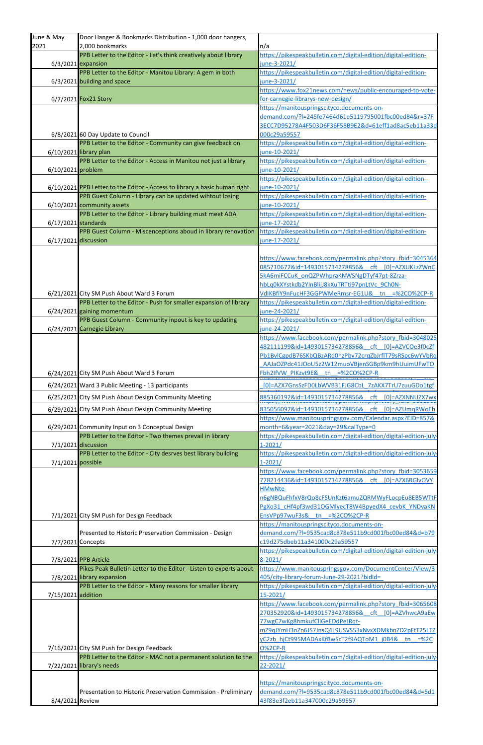| June & May           |                                                                                                |                                                                                |
|----------------------|------------------------------------------------------------------------------------------------|--------------------------------------------------------------------------------|
|                      | Door Hanger & Bookmarks Distribution - 1,000 door hangers,                                     |                                                                                |
| 2021                 | 2,000 bookmarks                                                                                | n/a                                                                            |
|                      | PPB Letter to the Editor - Let's think creatively about library                                | https://pikespeakbulletin.com/digital-edition/digital-edition-                 |
|                      | $6/3/2021$ expansion                                                                           | june-3-2021/                                                                   |
|                      | PPB Letter to the Editor - Manitou Library: A gem in both                                      | https://pikespeakbulletin.com/digital-edition/digital-edition-                 |
|                      | $6/3/2021$ building and space                                                                  | june-3-2021/                                                                   |
|                      |                                                                                                | https://www.fox21news.com/news/public-encouraged-to-vote-                      |
|                      | 6/7/2021 Fox21 Story                                                                           | for-carnegie-librarys-new-design/                                              |
|                      |                                                                                                | https://manitouspringscityco.documents-on-                                     |
|                      |                                                                                                | demand.com/?l=245fe7464d61e5119795001fbc00ed84&r=37F                           |
|                      |                                                                                                | 3ECC7D95278A4F503D6F36F58B9E2&d=61eff1ad8ac5eb11a33d                           |
|                      | 6/8/2021 60 Day Update to Council<br>PPB Letter to the Editor - Community can give feedback on | 000c29a59557<br>https://pikespeakbulletin.com/digital-edition/digital-edition- |
|                      | 6/10/2021 library plan                                                                         | june-10-2021/                                                                  |
|                      | PPB Letter to the Editor - Access in Manitou not just a library                                | https://pikespeakbulletin.com/digital-edition/digital-edition-                 |
| 6/10/2021 problem    |                                                                                                | june-10-2021/                                                                  |
|                      |                                                                                                | https://pikespeakbulletin.com/digital-edition/digital-edition-                 |
|                      | 6/10/2021 PPB Letter to the Editor - Access to library a basic human right                     | june-10-2021/                                                                  |
|                      | PPB Guest Column - Library can be updated wihtout losing                                       | https://pikespeakbulletin.com/digital-edition/digital-edition-                 |
|                      | 6/10/2021 community assets                                                                     | june-10-2021/                                                                  |
|                      | PPB Letter to the Editor - Library building must meet ADA                                      | https://pikespeakbulletin.com/digital-edition/digital-edition-                 |
| 6/17/2021 standards  |                                                                                                | june-17-2021/                                                                  |
|                      | PPB Guest Column - Miscenceptions aboud in library renovation                                  | https://pikespeakbulletin.com/digital-edition/digital-edition-                 |
| 6/17/2021 discussion |                                                                                                | june-17-2021/                                                                  |
|                      |                                                                                                |                                                                                |
|                      |                                                                                                | https://www.facebook.com/permalink.php?story fbid=3045364                      |
|                      |                                                                                                | 085710672&id=1493015734278856& cft [0]=AZXUKLzZWnC                             |
|                      |                                                                                                | 5kA6miFCCuK onQZPWhpraKNWSNgDTyf47pt-8Zrza-                                    |
|                      |                                                                                                | hbLq0kXYstkdb2YInBlijJ8kXuTRTti97pnLtVc_9Ch0N-                                 |
|                      | 6/21/2021 City SM Push About Ward 3 Forum                                                      | VdIKBfiY9nFucHF3GGPWMeRmsr-EG1U& tn =%2CO%2CP-R                                |
|                      | PPB Letter to the Editor - Push for smaller expansion of library                               | https://pikespeakbulletin.com/digital-edition/digital-edition-                 |
|                      | 6/24/2021 gaining momentum                                                                     | june-24-2021/                                                                  |
|                      | PPB Guest Column - Community inpout is key to updating                                         | https://pikespeakbulletin.com/digital-edition/digital-edition-                 |
|                      | 6/24/2021 Carnegie Library                                                                     | june-24-2021/                                                                  |
|                      |                                                                                                | https://www.facebook.com/permalink.php?story fbid=3048025                      |
|                      |                                                                                                | 482111199&id=1493015734278856& cft [0]=AZVCOe3f0cZf                            |
|                      |                                                                                                | Pb1BvlCgpdB76SKbQBzARd0hzPbv72crqZbJrflT79sRSpc6wYVbRq                         |
|                      |                                                                                                | AAJaOZPdc41JOoU5z2W12muoVBjenSGBp9km9hUuimUFwTO                                |
|                      | 6/24/2021 City SM Push About Ward 3 Forum                                                      | Fbh2IfVW_PIKzvt9E&__tn =%2CO%2CP-R                                             |
|                      | 6/24/2021 Ward 3 Public Meeting - 13 participants                                              | [0]=AZX7GnsSzFD0LbWVB31FJG8CbL 7zAKX7TrU7zuuGDo1tgf                            |
|                      |                                                                                                |                                                                                |
|                      | 6/25/2021 City SM Push About Design Community Meeting                                          | 885360192&id=1493015734278856& cft [0]=AZXNNUZX7wx                             |
|                      | 6/29/2021 City SM Push About Design Community Meeting                                          | 835056097&id=1493015734278856& cft [0]=AZUmqRWoEh                              |
|                      |                                                                                                | https://www.manitouspringsgov.com/Calendar.aspx?EID=857&                       |
|                      | 6/29/2021 Community Input on 3 Conceptual Design                                               | month=6&year=2021&day=29&calType=0                                             |
|                      | PPB Letter to the Editor - Two themes prevail in library                                       | https://pikespeakbulletin.com/digital-edition/digital-edition-july-            |
| 7/1/2021 discussion  |                                                                                                |                                                                                |
|                      |                                                                                                | $1 - 2021/$                                                                    |
|                      | PPB Letter to the Editor - City desrves best library building                                  | https://pikespeakbulletin.com/digital-edition/digital-edition-july-            |
| $7/1/2021$ possible  |                                                                                                | $1 - 2021/$                                                                    |
|                      |                                                                                                | https://www.facebook.com/permalink.php?story fbid=3053659                      |
|                      |                                                                                                | 778214436&id=1493015734278856& cft [0]=AZX6RGlvOVY                             |
|                      |                                                                                                | HMwNte-                                                                        |
|                      |                                                                                                | n6gNBQuFhfxV8rQo8cFSUnKzt6amuZQRMWyFLocpEu8EB5WTtF                             |
|                      |                                                                                                | PgXo31 cHf4pf3wd31OGMlyecT8W4BpyedX4 cevbK YNDvaKN                             |
|                      | 7/1/2021 City SM Push for Design Feedback                                                      | EnsVPp97wuF3s& tn =%2CO%2CP-R                                                  |
|                      |                                                                                                | https://manitouspringscityco.documents-on-                                     |
|                      | Presented to Historic Preservation Commission - Design                                         | demand.com/?l=9535cad8c878e511b9cd001fbc00ed84&d=b79                           |
| 7/7/2021 Concepts    |                                                                                                | c19d275dbeb11a341000c29a59557                                                  |
|                      |                                                                                                | https://pikespeakbulletin.com/digital-edition/digital-edition-july             |
|                      | 7/8/2021 PPB Article                                                                           | $8 - 2021/$                                                                    |
|                      | Pikes Peak Bulletin Letter to the Editor - Listen to experts about                             | https://www.manitouspringsgov.com/DocumentCenter/View/3                        |
|                      | 7/8/2021 library expansion                                                                     | 405/city-library-forum-June-29-2021?bidld=                                     |
|                      | PPB Letter to the Editor - Many reasons for smaller library                                    | https://pikespeakbulletin.com/digital-edition/digital-edition-july-            |
| 7/15/2021 addition   |                                                                                                | $15 - 2021/$                                                                   |
|                      |                                                                                                | https://www.facebook.com/permalink.php?story fbid=3065608                      |
|                      |                                                                                                | 270352920&id=1493015734278856& cft [0]=AZVhwcA9aEw                             |
|                      |                                                                                                | 77wgC7wKg8hmkufClIGeEDdPeJRqt-                                                 |
|                      |                                                                                                | mZ9qJYmH3nZn6JS7JnsQ4L9USVS53xNvxXDMkbnZD2pFtT25LTZ                            |
|                      |                                                                                                | yC2zb hjCt995MADAxKfBwScT2f9AQToM1_j0B4& tn =%2C<br><b>O%2CP-R</b>             |
|                      | 7/16/2021 City SM Push for Design Feedback                                                     |                                                                                |
|                      | PPB Letter to the Editor - MAC not a permanent solution to the                                 | https://pikespeakbulletin.com/digital-edition/digital-edition-july-            |
|                      | 7/22/2021 library's needs                                                                      | $22 - 2021/$                                                                   |
|                      |                                                                                                | https://manitouspringscityco.documents-on-                                     |
|                      | Presentation to Historic Preservation Commission - Preliminary                                 | demand.com/?l=9535cad8c878e511b9cd001fbc00ed84&d=5d1                           |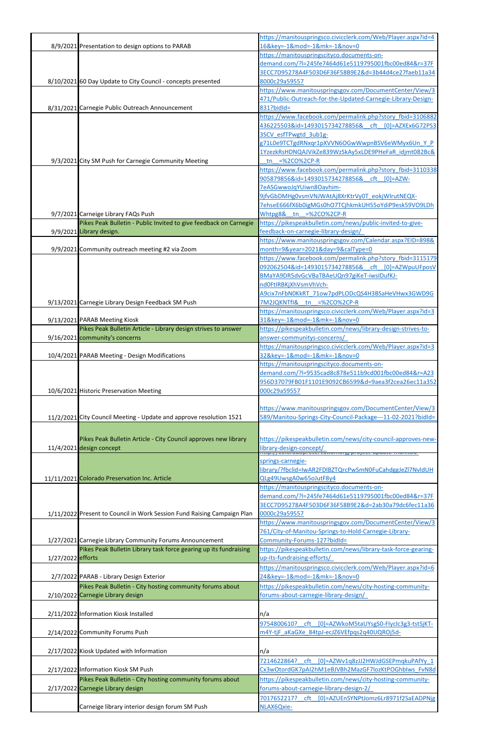|                   |                                                                         | https://manitouspringsco.civicclerk.com/Web/Player.aspx?id=4                                                     |
|-------------------|-------------------------------------------------------------------------|------------------------------------------------------------------------------------------------------------------|
|                   | 8/9/2021 Presentation to design options to PARAB                        | 16&key = - 1&mod = - 1&mk = - 1&nov = 0<br>https://manitouspringscityco.documents-on-                            |
|                   |                                                                         | demand.com/?l=245fe7464d61e5119795001fbc00ed84&r=37F                                                             |
|                   |                                                                         | 3ECC7D95278A4F503D6F36F58B9E2&d=3b44d4ce27faeb11a34                                                              |
|                   | 8/10/2021 60 Day Update to City Council - concepts presented            | 8000c29a59557                                                                                                    |
|                   |                                                                         | https://www.manitouspringsgov.com/DocumentCenter/View/3                                                          |
|                   |                                                                         | 471/Public-Outreach-for-the-Updated-Carnegie-Library-Design-                                                     |
|                   | 8/31/2021 Carnegie Public Outreach Announcement                         | 831?bidId=                                                                                                       |
|                   |                                                                         | https://www.facebook.com/permalink.php?story_fbid=3106882<br>436225503&id=1493015734278856& cft [0]=AZXEx6G72PS3 |
|                   |                                                                         | 3SCV esfTPwgtd 3ub1g-                                                                                            |
|                   |                                                                         | g71L0e9TCTgdRNxqr1pXVVN6OGwWwpnBSV6eWMyx6Un Y P                                                                  |
|                   |                                                                         | 1YzezkRsHDNQAJVikZe839WzSkAy5xLDE9PHeFaR_idjmt082Bc&                                                             |
|                   | 9/3/2021 City SM Push for Carnegie Community Meeting                    | tn $=$ %2CO%2CP-R                                                                                                |
|                   |                                                                         | https://www.facebook.com/permalink.php?story fbid=3110338                                                        |
|                   |                                                                         | 905879856&id=1493015734278856& cft [0]=AZW-                                                                      |
|                   |                                                                         | 7eASGwwoJqYUiwn8Oavhim-                                                                                          |
|                   |                                                                         | 9jfvGbDMHg0vsmVNJWAtAj8XrKtrVy0T eokjWIrutNEQX-                                                                  |
|                   | 9/7/2021 Carneige Library FAQs Push                                     | 7ehseE666fX6b0igMGs0hO7TCjhkmkUH55oYdiP9esk59VO9LDh<br>Whtpg8& tn =%2CO%2CP-R                                    |
|                   | Pikes Peak Bulletin - Public Invited to give feedback on Carnegie       | https://pikespeakbulletin.com/news/public-invited-to-give-                                                       |
|                   | 9/9/2021 Library design.                                                | feedback-on-carnegie-library-design/                                                                             |
|                   |                                                                         | https://www.manitouspringsgov.com/Calendar.aspx?EID=898&                                                         |
|                   | 9/9/2021 Community outreach meeting #2 via Zoom                         | month=9&year=2021&day=9&calType=0                                                                                |
|                   |                                                                         | https://www.facebook.com/permalink.php?story fbid=3115179                                                        |
|                   |                                                                         | 092062504&id=1493015734278856& cft [0]=AZWpuUFposV                                                               |
|                   |                                                                         | BMaYA9DR5dvGcVBaTBAeUQn97giKeT-iwsIDufKJ-                                                                        |
|                   |                                                                         | nd0FtIRBKjXhVsmVhVch-                                                                                            |
|                   |                                                                         | A9cix7nFbN0KkRT_71ow7pdPLODcQS4H3BSaHeVHwx3GWD9G<br>7M2JQKNTfl& tn =%2CO%2CP-R                                   |
|                   | 9/13/2021 Carnegie Library Design Feedback SM Push                      | https://manitouspringsco.civicclerk.com/Web/Player.aspx?id=3                                                     |
|                   | 9/13/2021 PARAB Meeting Kiosk                                           | 31&key = - 1&mod = - 1&mk = - 1&nov = 0                                                                          |
|                   | Pikes Peak Bulletin Article - Library design strives to answer          | https://pikespeakbulletin.com/news/library-design-strives-to-                                                    |
|                   | 9/16/2021 community's concerns                                          | answer-communitys-concerns/                                                                                      |
|                   |                                                                         | https://manitouspringsco.civicclerk.com/Web/Player.aspx?id=3                                                     |
|                   | 10/4/2021 PARAB Meeting - Design Modifications                          | 32&key = - 1&mod = - 1&mk = - 1&nov = 0                                                                          |
|                   |                                                                         | https://manitouspringscityco.documents-on-                                                                       |
|                   |                                                                         | demand.com/?I=9535cad8c878e511b9cd001fbc00ed84&r=A23                                                             |
|                   | 10/6/2021 Historic Preservation Meeting                                 | 956D37079FB01F1101E9092CB6599&d=9aea3f2cea26ec11a352<br>000c29a59557                                             |
|                   |                                                                         |                                                                                                                  |
|                   |                                                                         | https://www.manitouspringsgov.com/DocumentCenter/View/3                                                          |
|                   | 11/2/2021 City Council Meeting - Update and approve resolution 1521     | 589/Manitou-Springs-City-Council-Package---11-02-2021?bidId=                                                     |
|                   |                                                                         |                                                                                                                  |
|                   | Pikes Peak Bulletin Article - City Council approves new library         | https://pikespeakbulletin.com/news/city-council-approves-new-                                                    |
|                   | 11/4/2021 design concept                                                | library-design-concept/<br>http://www. <u>daopreservation.org/project</u>                                        |
|                   |                                                                         | springs-carnegie-                                                                                                |
|                   |                                                                         | library/?fbclid=IwAR2FDIBZTQrcPwSmN0FuCahdggJeZl7NvldUH                                                          |
|                   | 11/11/2021 Colorado Preservation Inc. Article                           | QLg49UwsgA0w65oJutF8y4                                                                                           |
|                   |                                                                         | https://manitouspringscityco.documents-on-                                                                       |
|                   |                                                                         | demand.com/?I=245fe7464d61e5119795001fbc00ed84&r=37F                                                             |
|                   | 1/11/2022 Present to Council in Work Session Fund Raising Campaign Plan | 3ECC7D95278A4F503D6F36F58B9E2&d=2ab30a79dc6fec11a36<br>0000c29a59557                                             |
|                   |                                                                         | https://www.manitouspringsgov.com/DocumentCenter/View/3                                                          |
|                   |                                                                         | 761/City-of-Manitou-Springs-to-Hold-Carnegie-Library-                                                            |
|                   | 1/27/2021 Carnegie Library Community Forums Announcement                | Community-Forums-127?bidld=                                                                                      |
|                   | Pikes Peak Bulletin Library task force gearing up its fundraising       | https://pikespeakbulletin.com/news/library-task-force-gearing-                                                   |
| 1/27/2022 efforts |                                                                         | up-its-fundraising-efforts/                                                                                      |
|                   |                                                                         | https://manitouspringsco.civicclerk.com/Web/Player.aspx?id=6                                                     |
|                   | 2/7/2022 PARAB - Library Design Exterior                                | 24&key = - 1&mod = - 1&mk = - 1&nov = 0                                                                          |
|                   | Pikes Peak Bulletin - City hosting community forums about               | https://pikespeakbulletin.com/news/city-hosting-community-                                                       |
|                   | 2/10/2022 Carnegie Library design                                       | forums-about-carnegie-library-design/                                                                            |
|                   | 2/11/2022 Information Kiosk Installed                                   | n/a                                                                                                              |
|                   |                                                                         | 9754800610? cft [0]=AZWkoM5taUYsgS0-Flyclc3g3-tstSjKT-                                                           |
|                   | 2/14/2022 Community Forums Push                                         | m4Y-tjF aKaGXe 84tpJ-ecJZ6VEfpqs2q40UQROj5d-                                                                     |
|                   |                                                                         |                                                                                                                  |
|                   | 2/17/2022 Kiosk Updated with Information                                | n/a                                                                                                              |
|                   |                                                                         | 7214622864?<br>cft [0]=AZWv1q8zJJ2HWJdGSEPmqkuPAfYy 1                                                            |
|                   | 2/17/2022 Information Kiosk SM Push                                     | Cx3wOtordGK7pAI2hM1eBJVBh2MazGF7lozKtPOGhbIws FvN8d                                                              |
|                   | Pikes Peak Bulletin - City hosting community forums about               | https://pikespeakbulletin.com/news/city-hosting-community-                                                       |
|                   | 2/17/2022 Carnegie Library design                                       | forums-about-carnegie-library-design-2/                                                                          |
|                   |                                                                         | 7017652217? cft [0]=AZUEnSYNPtJomz6Lr8971f2SaEADPNjg                                                             |
|                   | Carneige library interior design forum SM Push                          | NLAX6Qxie-                                                                                                       |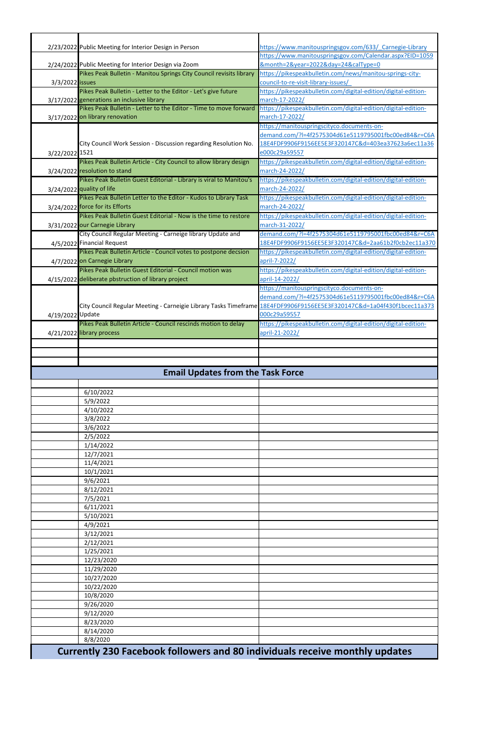|                        | 2/23/2022 Public Meeting for Interior Design in Person                                                                | https://www.manitouspringsgov.com/633/ Carnegie-Library                                                     |
|------------------------|-----------------------------------------------------------------------------------------------------------------------|-------------------------------------------------------------------------------------------------------------|
|                        |                                                                                                                       | https://www.manitouspringsgov.com/Calendar.aspx?EID=1059                                                    |
|                        | 2/24/2022 Public Meeting for Interior Design via Zoom                                                                 | &month=2&year=2022&day=24&calType=0                                                                         |
|                        | Pikes Peak Bulletin - Manitou Springs City Council revisits library                                                   | https://pikespeakbulletin.com/news/manitou-springs-city-                                                    |
| 3/3/2022 <b>issues</b> |                                                                                                                       | council-to-re-visit-library-issues/                                                                         |
|                        | Pikes Peak Bulletin - Letter to the Editor - Let's give future                                                        | https://pikespeakbulletin.com/digital-edition/digital-edition-                                              |
|                        | 3/17/2022 generations an inclusive library                                                                            | march-17-2022/                                                                                              |
|                        | Pikes Peak Bulletin - Letter to the Editor - Time to move forward                                                     | https://pikespeakbulletin.com/digital-edition/digital-edition-                                              |
|                        | 3/17/2022 on library renovation                                                                                       | march-17-2022/                                                                                              |
|                        |                                                                                                                       | https://manitouspringscityco.documents-on-                                                                  |
|                        | City Council Work Session - Discussion regarding Resolution No.                                                       | demand.com/?I=4f2575304d61e5119795001fbc00ed84&r=C6A<br>18E4FDF9906F9156EE5E3F320147C&d=403ea37623a6ec11a36 |
| 3/22/2022 1521         |                                                                                                                       | e000c29a59557                                                                                               |
|                        | Pikes Peak Bulletin Article - City Council to allow library design                                                    | https://pikespeakbulletin.com/digital-edition/digital-edition-                                              |
|                        | 3/24/2022 resolution to stand                                                                                         | march-24-2022/                                                                                              |
|                        | Pikes Peak Bulletin Guest Editorial - Library is viral to Manitou's                                                   | https://pikespeakbulletin.com/digital-edition/digital-edition-                                              |
|                        | 3/24/2022 quality of life                                                                                             | march-24-2022/                                                                                              |
|                        | Pikes Peak Bulletin Letter to the Editor - Kudos to Library Task                                                      | https://pikespeakbulletin.com/digital-edition/digital-edition-                                              |
|                        | 3/24/2022 force for its Efforts                                                                                       | march-24-2022/                                                                                              |
|                        | Pikes Peak Bulletin Guest Editorial - Now is the time to restore                                                      | https://pikespeakbulletin.com/digital-edition/digital-edition-                                              |
|                        | 3/31/2022 our Carnegie Library                                                                                        | march-31-2022/                                                                                              |
|                        | City Council Regular Meeting - Carneige library Update and                                                            | demand.com/?l=4f2575304d61e5119795001fbc00ed84&r=C6A                                                        |
|                        | 4/5/2022 Financial Request                                                                                            | 18E4FDF9906F9156EE5E3F320147C&d=2aa61b2f0cb2ec11a370                                                        |
|                        | Pikes Peak Bulletin Article - Council votes to postpone decsion                                                       | https://pikespeakbulletin.com/digital-edition/digital-edition-                                              |
|                        | 4/7/2022 on Carnegie Library                                                                                          | april-7-2022/                                                                                               |
|                        | Pikes Peak Bulletin Guest Editorial - Council motion was                                                              | https://pikespeakbulletin.com/digital-edition/digital-edition-                                              |
|                        | 4/15/2022 deliberate pbstruction of library project                                                                   | april-14-2022/<br>https://manitouspringscityco.documents-on-                                                |
|                        |                                                                                                                       | demand.com/?l=4f2575304d61e5119795001fbc00ed84&r=C6A                                                        |
|                        | City Council Regular Meeting - Carneigie Library Tasks Timeframe 18E4FDF9906F9156EE5E3F320147C&d=1a04f430f1bcec11a373 |                                                                                                             |
| 4/19/2022 Update       |                                                                                                                       | 000c29a59557                                                                                                |
|                        | Pikes Peak Bulletin Article - Council rescinds motion to delay                                                        | https://pikespeakbulletin.com/digital-edition/digital-edition-                                              |
|                        | 4/21/2022 library process                                                                                             | april-21-2022/                                                                                              |
|                        |                                                                                                                       |                                                                                                             |
|                        |                                                                                                                       |                                                                                                             |
|                        |                                                                                                                       |                                                                                                             |
|                        |                                                                                                                       |                                                                                                             |
|                        |                                                                                                                       |                                                                                                             |
|                        | <b>Email Updates from the Task Force</b>                                                                              |                                                                                                             |
|                        |                                                                                                                       |                                                                                                             |
|                        | 6/10/2022<br>5/9/2022                                                                                                 |                                                                                                             |
|                        | 4/10/2022                                                                                                             |                                                                                                             |
|                        | 3/8/2022                                                                                                              |                                                                                                             |
|                        | 3/6/2022                                                                                                              |                                                                                                             |
|                        | 2/5/2022                                                                                                              |                                                                                                             |
|                        | 1/14/2022                                                                                                             |                                                                                                             |
|                        | 12/7/2021                                                                                                             |                                                                                                             |
|                        | 11/4/2021                                                                                                             |                                                                                                             |
|                        | 10/1/2021                                                                                                             |                                                                                                             |
|                        | 9/6/2021                                                                                                              |                                                                                                             |
|                        | 8/12/2021                                                                                                             |                                                                                                             |
|                        | 7/5/2021<br>6/11/2021                                                                                                 |                                                                                                             |
|                        | 5/10/2021                                                                                                             |                                                                                                             |
|                        | 4/9/2021                                                                                                              |                                                                                                             |
|                        | 3/12/2021                                                                                                             |                                                                                                             |
|                        | 2/12/2021                                                                                                             |                                                                                                             |
|                        | 1/25/2021                                                                                                             |                                                                                                             |
|                        | 12/23/2020                                                                                                            |                                                                                                             |
|                        | 11/29/2020                                                                                                            |                                                                                                             |
|                        | 10/27/2020                                                                                                            |                                                                                                             |
|                        | 10/22/2020<br>10/8/2020                                                                                               |                                                                                                             |
|                        | 9/26/2020                                                                                                             |                                                                                                             |
|                        | 9/12/2020                                                                                                             |                                                                                                             |
|                        | 8/23/2020                                                                                                             |                                                                                                             |
|                        | 8/14/2020                                                                                                             |                                                                                                             |
|                        | 8/8/2020<br>Currently 230 Facebook followers and 80 individuals receive monthly updates                               |                                                                                                             |